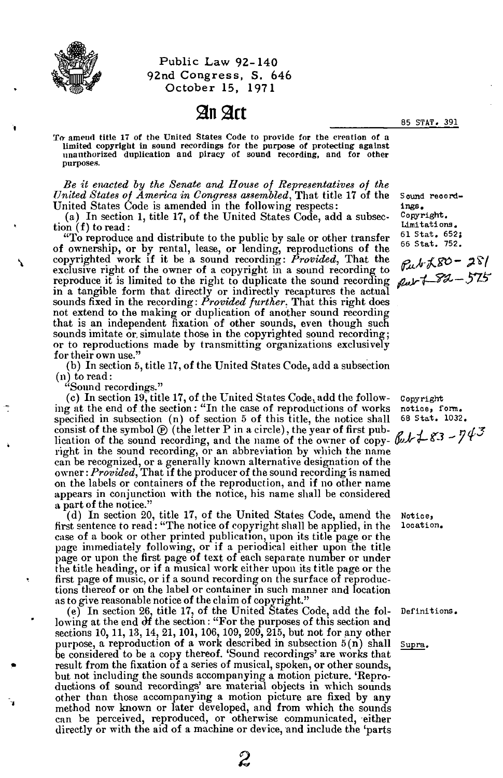

**Public Law 92-140 92nd Congress, S. 646 October 15, 1971** 

## **An Art**

**85 STAT. 391** 

**To- amend title 17 of the United States Code to provide for the creation of a limited copyright in sound recordings for the purpose of protecting against unauthorized duplication and piracy of sound recording, and for other purposes.** 

*Be it enacted by the Senate and Home of Representatives of the United States of America in Congress assembled,* **That title 17 of the United States Code is amended in the following respects:** 

**(a) In section 1, title 17, of the United States Code, add a subsection (f) to read:** 

**"To reproduce and distribute to the public by sale or other transfer of ownership, or by rental, lease, or lending, reproductions of the copyrighted work if it be a sound recording:** *Provided,* **That the exclusive right of the owner of a copyright in a sound recording to reproduce it is limited to the right to duplicate the sound recording in a tangible form that directly or indirectly recaptures the actual sounds fixed in the recording:** *Provided further,* **That this right does not extend to the making or duplication of another sound recording that is an independent fixation of other sounds, even though such sounds imitate or, simulate those in the copyrighted sound recording; or to reproductions made by transmitting organizations exclusively for their own use."** 

**(b) In section 5, title 17, of the United States Code, add a subsection (n) to read:** 

**"Sound recordings."** 

(c) In section 19, title 17, of the United States Code, add the follow**ing at the end of the section: "In the case of reproductions of works specified in subsection (n) of section 5 of this title, the notice shall**  consist of the symbol  $\circled{P}$  (the letter P in a circle), the year of first publication of the sound recording, and the name of the owner of copy- $\mathbb{C}$   $k+23$  -  $743$ **right in the sound recording, or an abbreviation by which the name can be recognized, or a generally known alternative designation of the owner:** *Provided,* **That if the producer of the sound recording is named on the labels or containers of the reproduction, and if no other name appears in conjunction with the notice, his name shall be considered a part of the notice."** 

**(d) In section 20, title 17, of the United States Code, amend the first sentence to read: "The notice of copyright shall be applied, in the case of a book or other printed publication, upon its title page or the page immediately following, or if a periodical either upon the title page or upon the first page of text of each separate number or under the title heading, or if a musical work either upon its title page or the first page of music, or if a sound recording on the surface of reproductions thereof or on the label or container in such manner and location as to give reasonable notice of the claim of copyright."** 

**(e) In section 26, title 17, of the United States Code, add the following at the end df the section: "For the purposes of this section and sections 10, 11,13,14, 21,101,106,109, 209, 215, but not for any other purpose, a reproduction of a work described in subsection 5(n) shall be considered to be a copy thereof. 'Sound recordings' are works that result from the fixation of a series of musical, spoken, or other sounds, but not including the sounds accompanying a motion picture. 'Reproductions of sound recordings' are material objects in which sounds other than those accompanying a motion picture are fixed by any method now known or later developed, and from which the sounds can be perceived, reproduced, or otherwise communicated, either directly or with the aid of a machine or device, and include the 'parts** 

**Sound recordings. Copyright, limitations. 61 Stat . 652; 66 Stat. 752.** 

 $846580 - 281$ Put + 82 - 575

**Copyright notioe> form. 68 Stat . 1032.** 

**Notioe> location .** 

**Definitions.** 

**Supra.**